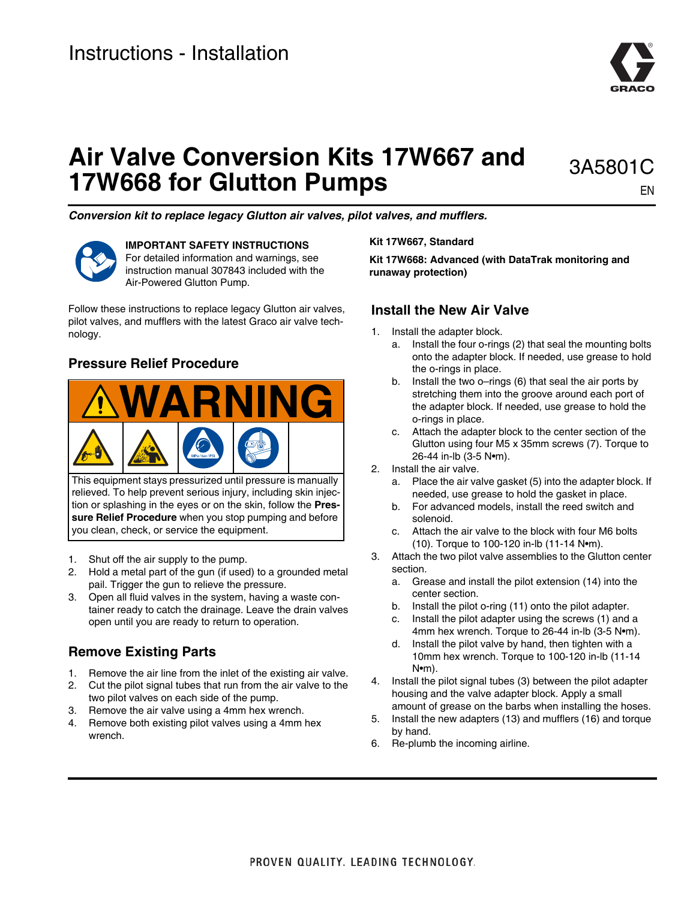

# **Air Valve Conversion Kits 17W667 and 17W668 for Glutton Pumps**

3A5801C EN

*Conversion kit to replace legacy Glutton air valves, pilot valves, and mufflers.*



**IMPORTANT SAFETY INSTRUCTIONS** For detailed information and warnings, see instruction manual 307843 included with the Air-Powered Glutton Pump.

Follow these instructions to replace legacy Glutton air valves, pilot valves, and mufflers with the latest Graco air valve technology.

## **Pressure Relief Procedure**



This equipment stays pressurized until pressure is manually relieved. To help prevent serious injury, including skin injection or splashing in the eyes or on the skin, follow the **Pressure Relief Procedure** when you stop pumping and before you clean, check, or service the equipment.

- 1. Shut off the air supply to the pump.
- 2. Hold a metal part of the gun (if used) to a grounded metal pail. Trigger the gun to relieve the pressure.
- 3. Open all fluid valves in the system, having a waste container ready to catch the drainage. Leave the drain valves open until you are ready to return to operation.

## **Remove Existing Parts**

- 1. Remove the air line from the inlet of the existing air valve.
- 2. Cut the pilot signal tubes that run from the air valve to the two pilot valves on each side of the pump.
- 3. Remove the air valve using a 4mm hex wrench.
- 4. Remove both existing pilot valves using a 4mm hex wrench.

**Kit 17W667, Standard** 

**Kit 17W668: Advanced (with DataTrak monitoring and runaway protection)**

#### **Install the New Air Valve**

- 1. Install the adapter block.
	- a. Install the four o-rings (2) that seal the mounting bolts onto the adapter block. If needed, use grease to hold the o-rings in place.
	- b. Install the two o–rings (6) that seal the air ports by stretching them into the groove around each port of the adapter block. If needed, use grease to hold the o-rings in place.
	- c. Attach the adapter block to the center section of the Glutton using four M5 x 35mm screws (7). Torque to 26-44 in-lb (3-5 N•m).
- 2. Install the air valve.
	- a. Place the air valve gasket (5) into the adapter block. If needed, use grease to hold the gasket in place.
	- b. For advanced models, install the reed switch and solenoid.
	- c. Attach the air valve to the block with four M6 bolts (10). Torque to 100-120 in-lb (11-14 N•m).
- 3. Attach the two pilot valve assemblies to the Glutton center section.
	- a. Grease and install the pilot extension (14) into the center section.
	- b. Install the pilot o-ring (11) onto the pilot adapter.
	- c. Install the pilot adapter using the screws (1) and a 4mm hex wrench. Torque to 26-44 in-lb (3-5 Nom).
	- d. Install the pilot valve by hand, then tighten with a 10mm hex wrench. Torque to 100-120 in-lb (11-14 N•m).
- 4. Install the pilot signal tubes (3) between the pilot adapter housing and the valve adapter block. Apply a small amount of grease on the barbs when installing the hoses.
- 5. Install the new adapters (13) and mufflers (16) and torque by hand.
- 6. Re-plumb the incoming airline.